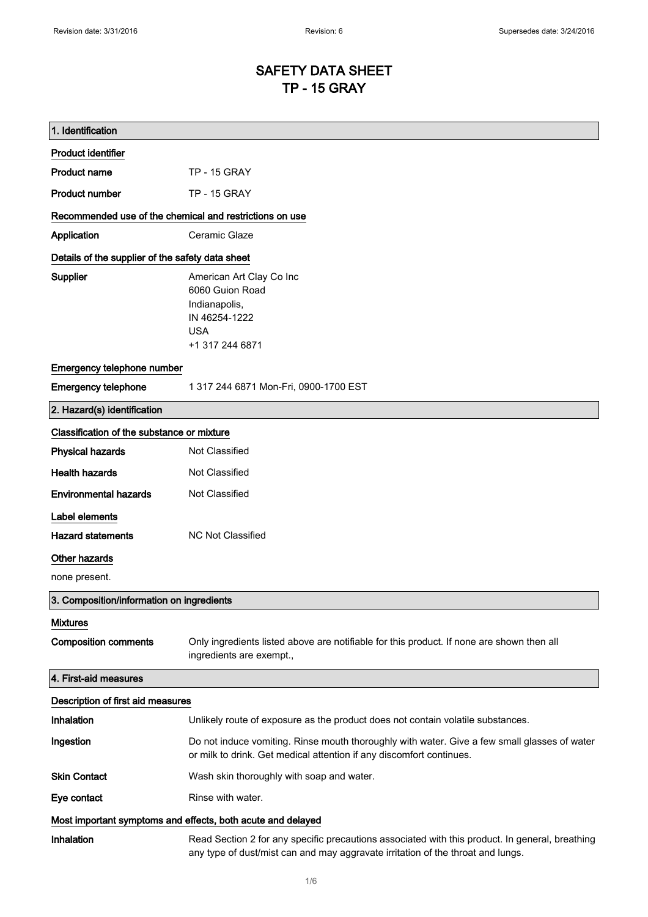# SAFETY DATA SHEET TP - 15 GRAY

| 1. Identification                                           |                                                                                                                                                                                    |
|-------------------------------------------------------------|------------------------------------------------------------------------------------------------------------------------------------------------------------------------------------|
| <b>Product identifier</b>                                   |                                                                                                                                                                                    |
| <b>Product name</b>                                         | <b>TP - 15 GRAY</b>                                                                                                                                                                |
| <b>Product number</b>                                       | <b>TP - 15 GRAY</b>                                                                                                                                                                |
| Recommended use of the chemical and restrictions on use     |                                                                                                                                                                                    |
| Application                                                 | Ceramic Glaze                                                                                                                                                                      |
| Details of the supplier of the safety data sheet            |                                                                                                                                                                                    |
| Supplier                                                    | American Art Clay Co Inc<br>6060 Guion Road<br>Indianapolis,<br>IN 46254-1222<br><b>USA</b><br>+1 317 244 6871                                                                     |
| Emergency telephone number                                  |                                                                                                                                                                                    |
| <b>Emergency telephone</b>                                  | 1 317 244 6871 Mon-Fri, 0900-1700 EST                                                                                                                                              |
| 2. Hazard(s) identification                                 |                                                                                                                                                                                    |
| Classification of the substance or mixture                  |                                                                                                                                                                                    |
| <b>Physical hazards</b>                                     | Not Classified                                                                                                                                                                     |
| <b>Health hazards</b>                                       | Not Classified                                                                                                                                                                     |
| <b>Environmental hazards</b>                                | Not Classified                                                                                                                                                                     |
| Label elements                                              |                                                                                                                                                                                    |
| <b>Hazard statements</b>                                    | <b>NC Not Classified</b>                                                                                                                                                           |
| Other hazards                                               |                                                                                                                                                                                    |
| none present.                                               |                                                                                                                                                                                    |
| 3. Composition/information on ingredients                   |                                                                                                                                                                                    |
| <b>Mixtures</b>                                             |                                                                                                                                                                                    |
| <b>Composition comments</b>                                 | Only ingredients listed above are notifiable for this product. If none are shown then all<br>ingredients are exempt.,                                                              |
| 4. First-aid measures                                       |                                                                                                                                                                                    |
| Description of first aid measures                           |                                                                                                                                                                                    |
| Inhalation                                                  | Unlikely route of exposure as the product does not contain volatile substances.                                                                                                    |
| Ingestion                                                   | Do not induce vomiting. Rinse mouth thoroughly with water. Give a few small glasses of water<br>or milk to drink. Get medical attention if any discomfort continues.               |
| <b>Skin Contact</b>                                         | Wash skin thoroughly with soap and water.                                                                                                                                          |
| Eye contact                                                 | Rinse with water.                                                                                                                                                                  |
| Most important symptoms and effects, both acute and delayed |                                                                                                                                                                                    |
| Inhalation                                                  | Read Section 2 for any specific precautions associated with this product. In general, breathing<br>any type of dust/mist can and may aggravate irritation of the throat and lungs. |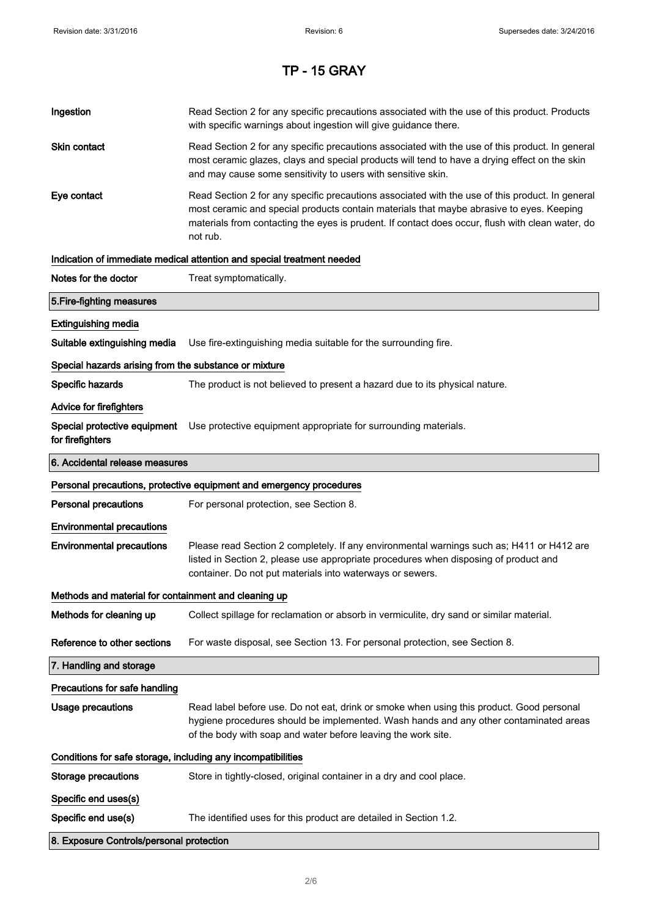| Ingestion                                                    | Read Section 2 for any specific precautions associated with the use of this product. Products<br>with specific warnings about ingestion will give guidance there.                                                                                                                                           |  |
|--------------------------------------------------------------|-------------------------------------------------------------------------------------------------------------------------------------------------------------------------------------------------------------------------------------------------------------------------------------------------------------|--|
| Skin contact                                                 | Read Section 2 for any specific precautions associated with the use of this product. In general<br>most ceramic glazes, clays and special products will tend to have a drying effect on the skin<br>and may cause some sensitivity to users with sensitive skin.                                            |  |
| Eye contact                                                  | Read Section 2 for any specific precautions associated with the use of this product. In general<br>most ceramic and special products contain materials that maybe abrasive to eyes. Keeping<br>materials from contacting the eyes is prudent. If contact does occur, flush with clean water, do<br>not rub. |  |
|                                                              | Indication of immediate medical attention and special treatment needed                                                                                                                                                                                                                                      |  |
| Notes for the doctor                                         | Treat symptomatically.                                                                                                                                                                                                                                                                                      |  |
| 5. Fire-fighting measures                                    |                                                                                                                                                                                                                                                                                                             |  |
| <b>Extinguishing media</b>                                   |                                                                                                                                                                                                                                                                                                             |  |
| Suitable extinguishing media                                 | Use fire-extinguishing media suitable for the surrounding fire.                                                                                                                                                                                                                                             |  |
| Special hazards arising from the substance or mixture        |                                                                                                                                                                                                                                                                                                             |  |
| Specific hazards                                             | The product is not believed to present a hazard due to its physical nature.                                                                                                                                                                                                                                 |  |
| <b>Advice for firefighters</b>                               |                                                                                                                                                                                                                                                                                                             |  |
| Special protective equipment<br>for firefighters             | Use protective equipment appropriate for surrounding materials.                                                                                                                                                                                                                                             |  |
| 6. Accidental release measures                               |                                                                                                                                                                                                                                                                                                             |  |
|                                                              | Personal precautions, protective equipment and emergency procedures                                                                                                                                                                                                                                         |  |
| <b>Personal precautions</b>                                  | For personal protection, see Section 8.                                                                                                                                                                                                                                                                     |  |
| <b>Environmental precautions</b>                             |                                                                                                                                                                                                                                                                                                             |  |
| <b>Environmental precautions</b>                             | Please read Section 2 completely. If any environmental warnings such as; H411 or H412 are<br>listed in Section 2, please use appropriate procedures when disposing of product and<br>container. Do not put materials into waterways or sewers.                                                              |  |
| Methods and material for containment and cleaning up         |                                                                                                                                                                                                                                                                                                             |  |
| Methods for cleaning up                                      | Collect spillage for reclamation or absorb in vermiculite, dry sand or similar material.                                                                                                                                                                                                                    |  |
| Reference to other sections                                  | For waste disposal, see Section 13. For personal protection, see Section 8.                                                                                                                                                                                                                                 |  |
| 7. Handling and storage                                      |                                                                                                                                                                                                                                                                                                             |  |
| Precautions for safe handling                                |                                                                                                                                                                                                                                                                                                             |  |
| <b>Usage precautions</b>                                     | Read label before use. Do not eat, drink or smoke when using this product. Good personal<br>hygiene procedures should be implemented. Wash hands and any other contaminated areas<br>of the body with soap and water before leaving the work site.                                                          |  |
| Conditions for safe storage, including any incompatibilities |                                                                                                                                                                                                                                                                                                             |  |
|                                                              |                                                                                                                                                                                                                                                                                                             |  |
| <b>Storage precautions</b>                                   | Store in tightly-closed, original container in a dry and cool place.                                                                                                                                                                                                                                        |  |
| Specific end uses(s)                                         |                                                                                                                                                                                                                                                                                                             |  |
| Specific end use(s)                                          | The identified uses for this product are detailed in Section 1.2.                                                                                                                                                                                                                                           |  |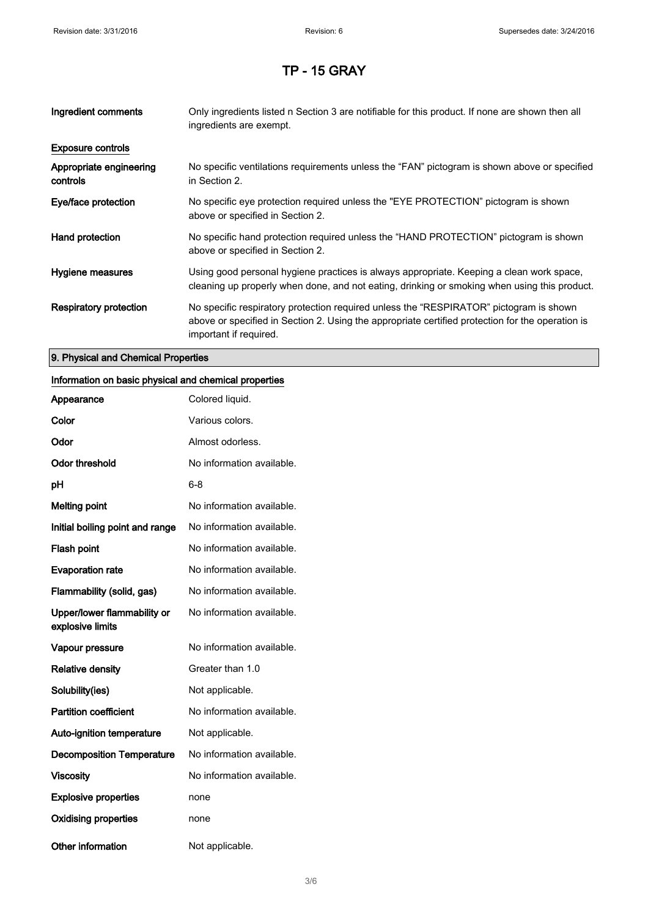| Ingredient comments                 | Only ingredients listed n Section 3 are notifiable for this product. If none are shown then all<br>ingredients are exempt.                                                                                           |
|-------------------------------------|----------------------------------------------------------------------------------------------------------------------------------------------------------------------------------------------------------------------|
| <b>Exposure controls</b>            |                                                                                                                                                                                                                      |
| Appropriate engineering<br>controls | No specific ventilations requirements unless the "FAN" pictogram is shown above or specified<br>in Section 2.                                                                                                        |
| Eye/face protection                 | No specific eye protection required unless the "EYE PROTECTION" pictogram is shown<br>above or specified in Section 2.                                                                                               |
| Hand protection                     | No specific hand protection required unless the "HAND PROTECTION" pictogram is shown<br>above or specified in Section 2.                                                                                             |
| Hygiene measures                    | Using good personal hygiene practices is always appropriate. Keeping a clean work space,<br>cleaning up properly when done, and not eating, drinking or smoking when using this product.                             |
| Respiratory protection              | No specific respiratory protection required unless the "RESPIRATOR" pictogram is shown<br>above or specified in Section 2. Using the appropriate certified protection for the operation is<br>important if required. |

#### 9. Physical and Chemical Properties

### Information on basic physical and chemical properties

| Appearance                                      | Colored liquid.           |
|-------------------------------------------------|---------------------------|
| Color                                           | Various colors.           |
| Odor                                            | Almost odorless.          |
| <b>Odor threshold</b>                           | No information available. |
| рH                                              | 6-8                       |
| <b>Melting point</b>                            | No information available. |
| Initial boiling point and range                 | No information available. |
| <b>Flash point</b>                              | No information available. |
| <b>Evaporation rate</b>                         | No information available. |
| Flammability (solid, gas)                       | No information available. |
| Upper/lower flammability or<br>explosive limits | No information available. |
| Vapour pressure                                 | No information available. |
| <b>Relative density</b>                         | Greater than 1.0          |
| Solubility(ies)                                 | Not applicable.           |
| <b>Partition coefficient</b>                    | No information available. |
| Auto-ignition temperature                       | Not applicable.           |
| <b>Decomposition Temperature</b>                | No information available. |
| <b>Viscosity</b>                                | No information available. |
| <b>Explosive properties</b>                     | none                      |
| <b>Oxidising properties</b>                     | none                      |
| Other information                               | Not applicable.           |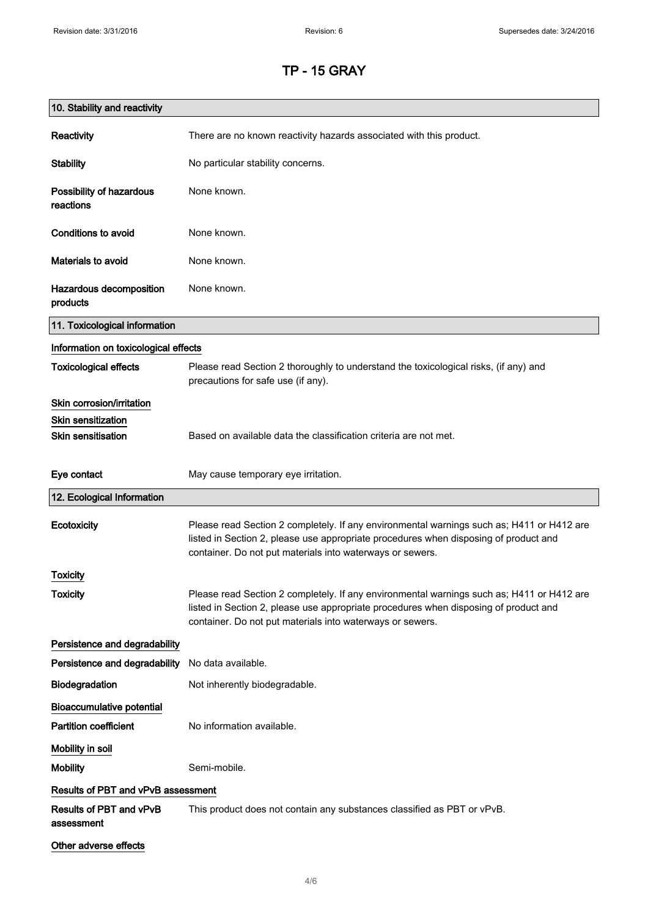| 10. Stability and reactivity          |                                                                                                                                                                                                                                                |
|---------------------------------------|------------------------------------------------------------------------------------------------------------------------------------------------------------------------------------------------------------------------------------------------|
| Reactivity                            | There are no known reactivity hazards associated with this product.                                                                                                                                                                            |
| <b>Stability</b>                      | No particular stability concerns.                                                                                                                                                                                                              |
| Possibility of hazardous<br>reactions | None known.                                                                                                                                                                                                                                    |
| Conditions to avoid                   | None known.                                                                                                                                                                                                                                    |
| Materials to avoid                    | None known.                                                                                                                                                                                                                                    |
| Hazardous decomposition<br>products   | None known.                                                                                                                                                                                                                                    |
| 11. Toxicological information         |                                                                                                                                                                                                                                                |
| Information on toxicological effects  |                                                                                                                                                                                                                                                |
| <b>Toxicological effects</b>          | Please read Section 2 thoroughly to understand the toxicological risks, (if any) and<br>precautions for safe use (if any).                                                                                                                     |
| Skin corrosion/irritation             |                                                                                                                                                                                                                                                |
| <b>Skin sensitization</b>             |                                                                                                                                                                                                                                                |
| <b>Skin sensitisation</b>             | Based on available data the classification criteria are not met.                                                                                                                                                                               |
| Eye contact                           | May cause temporary eye irritation.                                                                                                                                                                                                            |
| 12. Ecological Information            |                                                                                                                                                                                                                                                |
| Ecotoxicity                           | Please read Section 2 completely. If any environmental warnings such as; H411 or H412 are<br>listed in Section 2, please use appropriate procedures when disposing of product and<br>container. Do not put materials into waterways or sewers. |
| Toxicity                              |                                                                                                                                                                                                                                                |
| <b>Toxicity</b>                       | Please read Section 2 completely. If any environmental warnings such as; H411 or H412 are<br>listed in Section 2, please use appropriate procedures when disposing of product and<br>container. Do not put materials into waterways or sewers. |
| Persistence and degradability         |                                                                                                                                                                                                                                                |
| Persistence and degradability         | No data available.                                                                                                                                                                                                                             |
| Biodegradation                        | Not inherently biodegradable.                                                                                                                                                                                                                  |
| <b>Bioaccumulative potential</b>      |                                                                                                                                                                                                                                                |
| <b>Partition coefficient</b>          | No information available.                                                                                                                                                                                                                      |
| Mobility in soil                      |                                                                                                                                                                                                                                                |
| <b>Mobility</b>                       | Semi-mobile.                                                                                                                                                                                                                                   |
| Results of PBT and vPvB assessment    |                                                                                                                                                                                                                                                |
| Results of PBT and vPvB<br>assessment | This product does not contain any substances classified as PBT or vPvB.                                                                                                                                                                        |
| Other adverse effects                 |                                                                                                                                                                                                                                                |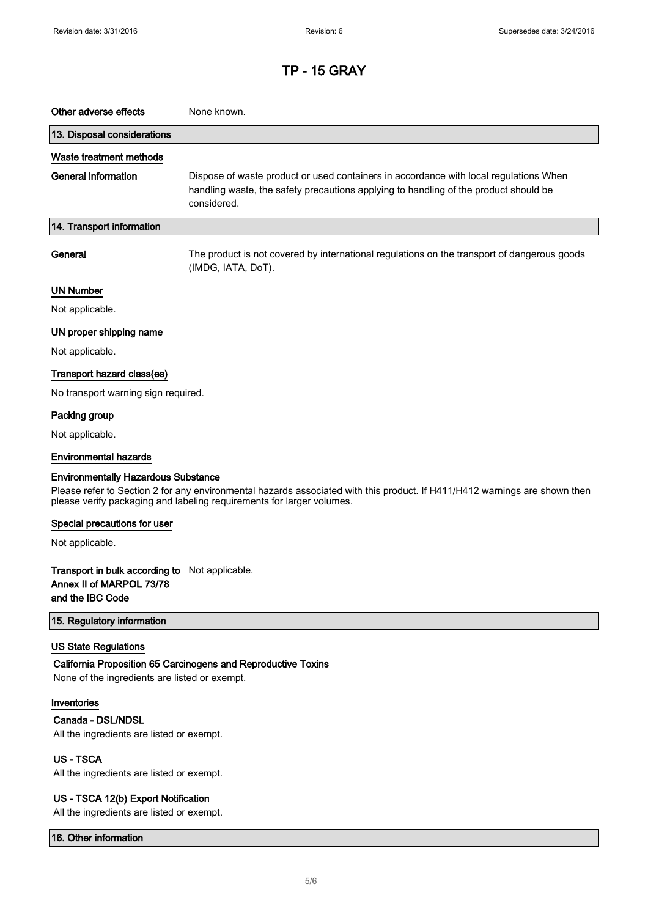| Other adverse effects                                                                                                                                                                                                                             | None known.                                                                                                                                                                                  |  |
|---------------------------------------------------------------------------------------------------------------------------------------------------------------------------------------------------------------------------------------------------|----------------------------------------------------------------------------------------------------------------------------------------------------------------------------------------------|--|
| 13. Disposal considerations                                                                                                                                                                                                                       |                                                                                                                                                                                              |  |
|                                                                                                                                                                                                                                                   |                                                                                                                                                                                              |  |
| Waste treatment methods<br><b>General information</b>                                                                                                                                                                                             | Dispose of waste product or used containers in accordance with local regulations When<br>handling waste, the safety precautions applying to handling of the product should be<br>considered. |  |
| 14. Transport information                                                                                                                                                                                                                         |                                                                                                                                                                                              |  |
| General                                                                                                                                                                                                                                           | The product is not covered by international regulations on the transport of dangerous goods<br>(IMDG, IATA, DoT).                                                                            |  |
| <b>UN Number</b>                                                                                                                                                                                                                                  |                                                                                                                                                                                              |  |
| Not applicable.                                                                                                                                                                                                                                   |                                                                                                                                                                                              |  |
| UN proper shipping name                                                                                                                                                                                                                           |                                                                                                                                                                                              |  |
| Not applicable.                                                                                                                                                                                                                                   |                                                                                                                                                                                              |  |
| Transport hazard class(es)                                                                                                                                                                                                                        |                                                                                                                                                                                              |  |
| No transport warning sign required.                                                                                                                                                                                                               |                                                                                                                                                                                              |  |
| Packing group                                                                                                                                                                                                                                     |                                                                                                                                                                                              |  |
| Not applicable.                                                                                                                                                                                                                                   |                                                                                                                                                                                              |  |
| <b>Environmental hazards</b>                                                                                                                                                                                                                      |                                                                                                                                                                                              |  |
| <b>Environmentally Hazardous Substance</b><br>Please refer to Section 2 for any environmental hazards associated with this product. If H411/H412 warnings are shown then<br>please verify packaging and labeling requirements for larger volumes. |                                                                                                                                                                                              |  |
| Special precautions for user                                                                                                                                                                                                                      |                                                                                                                                                                                              |  |
| Not applicable.                                                                                                                                                                                                                                   |                                                                                                                                                                                              |  |
| Transport in bulk according to Not applicable.<br>Annex II of MARPOL 73/78<br>and the IBC Code                                                                                                                                                    |                                                                                                                                                                                              |  |
| 15. Regulatory information                                                                                                                                                                                                                        |                                                                                                                                                                                              |  |
| <b>US State Regulations</b><br>None of the ingredients are listed or exempt.                                                                                                                                                                      | California Proposition 65 Carcinogens and Reproductive Toxins                                                                                                                                |  |
| Inventories                                                                                                                                                                                                                                       |                                                                                                                                                                                              |  |
| Canada - DSL/NDSL<br>All the ingredients are listed or exempt.                                                                                                                                                                                    |                                                                                                                                                                                              |  |
| <b>US-TSCA</b>                                                                                                                                                                                                                                    |                                                                                                                                                                                              |  |
| All the ingredients are listed or exempt.                                                                                                                                                                                                         |                                                                                                                                                                                              |  |
| US - TSCA 12(b) Export Notification<br>All the ingredients are listed or exempt.                                                                                                                                                                  |                                                                                                                                                                                              |  |

16. Other information